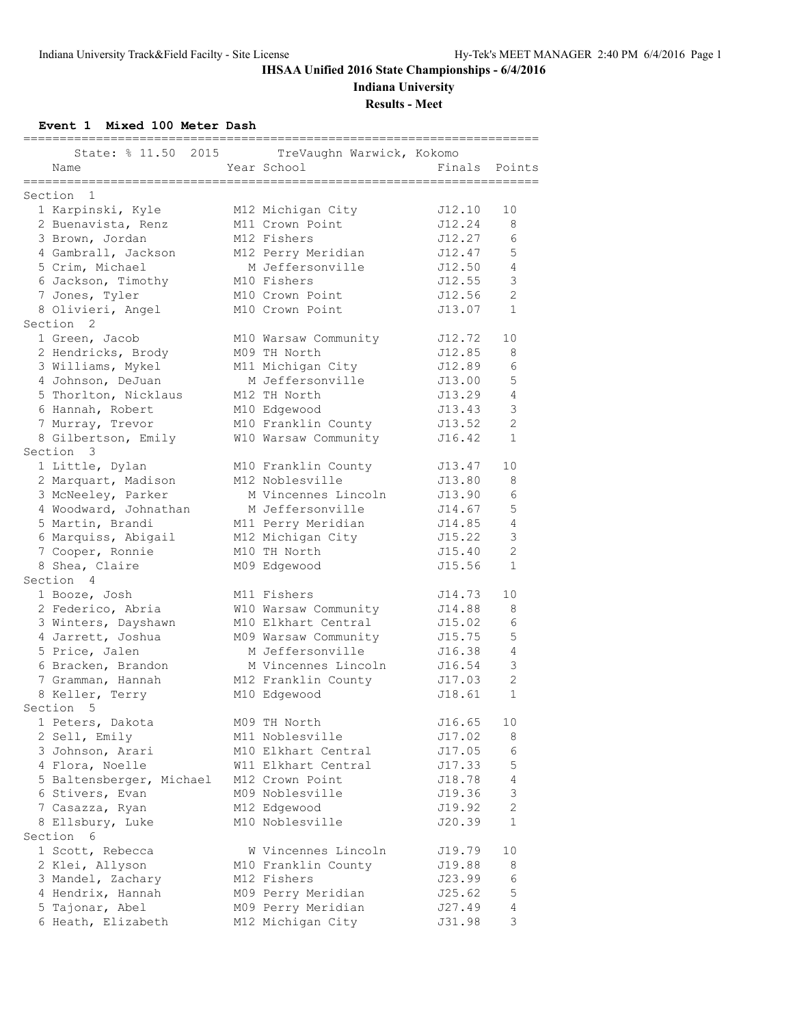**Indiana University**

**Results - Meet**

**Event 1 Mixed 100 Meter Dash**

|                             |                                          | ============== |                |
|-----------------------------|------------------------------------------|----------------|----------------|
| State: % 11.50 2015<br>Name | TreVaughn Warwick, Kokomo<br>Year School | Finals         | Points         |
| ===============             | :======================                  |                |                |
| 1<br>Section                |                                          |                |                |
| 1 Karpinski, Kyle           | M12 Michigan City                        | J12.10         | 10             |
| 2 Buenavista, Renz          | M11 Crown Point                          | J12.24         | 8              |
| 3 Brown, Jordan             | M12 Fishers                              | J12.27         | 6              |
| 4 Gambrall, Jackson         | M12 Perry Meridian                       | J12.47         | 5              |
| 5 Crim, Michael             | M Jeffersonville                         | J12.50         | 4              |
| 6 Jackson, Timothy          | M10 Fishers                              | J12.55         | 3              |
| 7 Jones, Tyler              | M10 Crown Point                          | J12.56         | $\overline{c}$ |
| 8 Olivieri, Angel           | M10 Crown Point                          | J13.07         | $\mathbf{1}$   |
| Section <sub>2</sub>        |                                          |                |                |
| 1 Green, Jacob              | M10 Warsaw Community                     | J12.72         | 10             |
| 2 Hendricks, Brody          | M09 TH North                             | J12.85         | 8              |
| 3 Williams, Mykel           | M11 Michigan City                        | J12.89         | 6              |
| 4 Johnson, DeJuan           | M Jeffersonville                         | J13.00         | 5              |
| 5 Thorlton, Nicklaus        | M12 TH North                             | J13.29         | $\overline{4}$ |
| 6 Hannah, Robert            | M10 Edgewood                             | J13.43         | $\mathsf 3$    |
| 7 Murray, Trevor            | M10 Franklin County                      | J13.52         | $\overline{c}$ |
| 8 Gilbertson, Emily         | W10 Warsaw Community                     | J16.42         | $\mathbf{1}$   |
| Section 3                   |                                          |                |                |
| 1 Little, Dylan             | M10 Franklin County                      | J13.47         | 10             |
| 2 Marquart, Madison         | M12 Noblesville                          | J13.80         | 8              |
| 3 McNeeley, Parker          | M Vincennes Lincoln                      | J13.90         | 6              |
| 4 Woodward, Johnathan       | M Jeffersonville                         | J14.67         | 5              |
| 5 Martin, Brandi            | M11 Perry Meridian                       | J14.85         | $\overline{4}$ |
| 6 Marquiss, Abigail         | M12 Michigan City                        | J15.22         | $\mathsf 3$    |
| 7 Cooper, Ronnie            | M10 TH North                             | J15.40         | $\overline{c}$ |
| 8 Shea, Claire              | M09 Edgewood                             | J15.56         | $\mathbf{1}$   |
| Section 4                   |                                          |                |                |
| 1 Booze, Josh               | M11 Fishers                              | J14.73         | 10             |
| 2 Federico, Abria           | W10 Warsaw Community                     | J14.88         | 8              |
| 3 Winters, Dayshawn         | M10 Elkhart Central                      | J15.02         | 6              |
| 4 Jarrett, Joshua           | M09 Warsaw Community                     | J15.75         | 5              |
| 5 Price, Jalen              | M Jeffersonville                         | J16.38         | $\overline{4}$ |
| 6 Bracken, Brandon          | M Vincennes Lincoln                      | J16.54         | $\mathsf 3$    |
| 7 Gramman, Hannah           | M12 Franklin County                      | J17.03         | $\overline{c}$ |
| 8 Keller, Terry             | M10 Edgewood                             | J18.61         | $\mathbf{1}$   |
| Section 5                   |                                          |                |                |
| 1 Peters, Dakota            | M09 TH North                             | J16.65         | 10             |
| 2 Sell, Emily               | M11 Noblesville                          | J17.02         | 8              |
| 3 Johnson, Arari            | M10 Elkhart Central                      | J17.05         | 6              |
| 4 Flora, Noelle             | W11 Elkhart Central                      | J17.33         | 5              |
| 5 Baltensberger, Michael    | M12 Crown Point                          | J18.78         | $\overline{4}$ |
| 6 Stivers, Evan             | M09 Noblesville                          | J19.36         | 3              |
| 7 Casazza, Ryan             | M12 Edgewood                             | J19.92         | $\mathbf{2}$   |
| 8 Ellsbury, Luke            | M10 Noblesville                          | J20.39         | 1              |
| Section 6                   |                                          |                |                |
| 1 Scott, Rebecca            | W Vincennes Lincoln                      | J19.79         | 10             |
| 2 Klei, Allyson             | M10 Franklin County                      | J19.88         | 8              |
| 3 Mandel, Zachary           | M12 Fishers                              | J23.99         | 6              |
| 4 Hendrix, Hannah           | M09 Perry Meridian                       | J25.62         | $\mathbb 5$    |
| 5 Tajonar, Abel             | M09 Perry Meridian                       | J27.49         | $\sqrt{4}$     |
| 6 Heath, Elizabeth          | M12 Michigan City                        | J31.98         | 3              |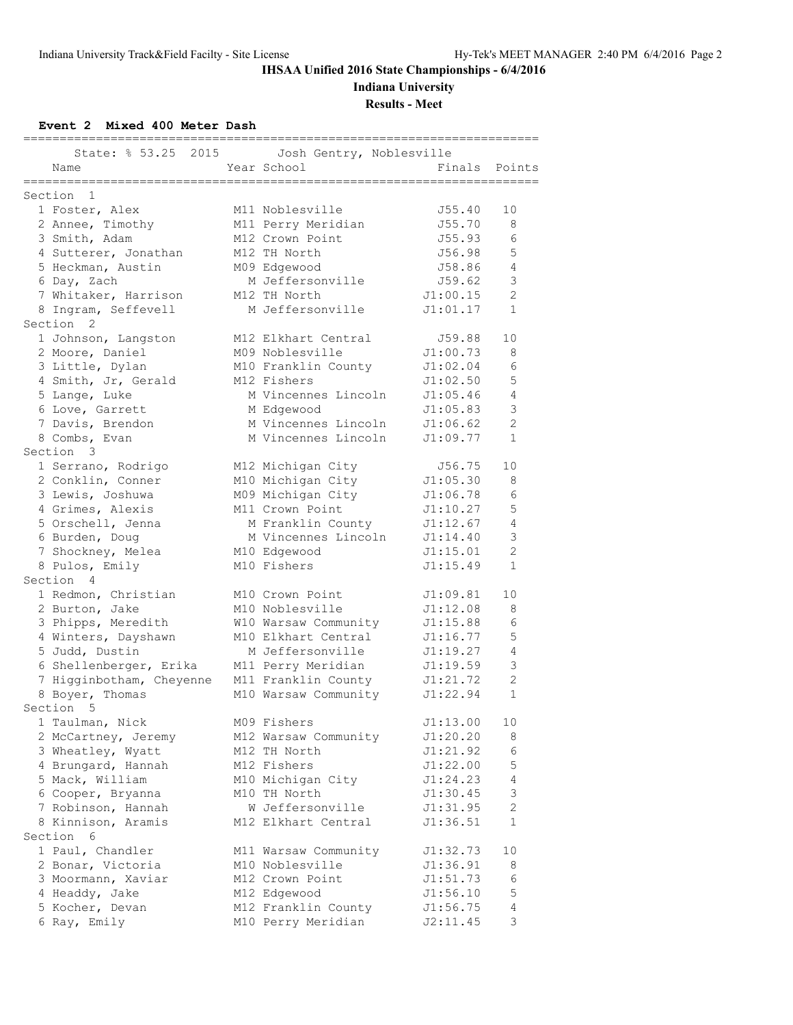**Indiana University**

**Results - Meet**

**Event 2 Mixed 400 Meter Dash**

|                          |                                         | ========== |                |
|--------------------------|-----------------------------------------|------------|----------------|
| State: % 53.25 2015      | Josh Gentry, Noblesville                |            |                |
| Name                     | Year School                             | Finals     | Points         |
| ===============          | =======================                 |            |                |
| Section 1                |                                         |            |                |
| 1 Foster, Alex           | M11 Noblesville                         | J55.40     | 10             |
| 2 Annee, Timothy         | M11 Perry Meridian                      | J55.70     | 8              |
| 3 Smith, Adam            | M12 Crown Point                         | J55.93     | 6              |
| 4 Sutterer, Jonathan     | M12 TH North                            | J56.98     | 5              |
| 5 Heckman, Austin        | M09 Edgewood                            | J58.86     | $\overline{4}$ |
| 6 Day, Zach              | M Jeffersonville                        | J59.62     | 3              |
| 7 Whitaker, Harrison     | M12 TH North                            | J1:00.15   | $\overline{2}$ |
| 8 Ingram, Seffevell      | M Jeffersonville                        | J1:01.17   | $\mathbf{1}$   |
| Section <sub>2</sub>     |                                         |            |                |
| 1 Johnson, Langston      | M12 Elkhart Central                     | J59.88     | 10             |
| 2 Moore, Daniel          | M09 Noblesville                         | J1:00.73   | 8              |
| 3 Little, Dylan          | M10 Franklin County                     | J1:02.04   | 6              |
| 4 Smith, Jr, Gerald      | M12 Fishers                             | J1:02.50   | 5              |
| 5 Lange, Luke            | M Vincennes Lincoln                     | J1:05.46   | $\overline{4}$ |
| 6 Love, Garrett          | M Edgewood                              | J1:05.83   | 3              |
| 7 Davis, Brendon         | M Vincennes Lincoln                     | J1:06.62   | $\overline{2}$ |
| 8 Combs, Evan            | M Vincennes Lincoln                     | J1:09.77   | $\mathbf{1}$   |
| Section 3                |                                         |            |                |
| 1 Serrano, Rodrigo       | M12 Michigan City                       | J56.75     | 10             |
| 2 Conklin, Conner        | M10 Michigan City                       | J1:05.30   | 8              |
| 3 Lewis, Joshuwa         | M09 Michigan City                       | J1:06.78   | 6              |
|                          | M11 Crown Point                         | J1:10.27   | 5              |
| 4 Grimes, Alexis         |                                         |            |                |
| 5 Orschell, Jenna        | M Franklin County                       | J1:12.67   | 4              |
| 6 Burden, Doug           | M Vincennes Lincoln                     | J1:14.40   | $\mathfrak{Z}$ |
| 7 Shockney, Melea        | M10 Edgewood                            | J1:15.01   | $\overline{2}$ |
| 8 Pulos, Emily           | M10 Fishers                             | J1:15.49   | $\mathbf{1}$   |
| Section 4                |                                         |            |                |
| 1 Redmon, Christian      | M10 Crown Point                         | J1:09.81   | 10             |
| 2 Burton, Jake           | M10 Noblesville                         | J1:12.08   | 8              |
| 3 Phipps, Meredith       | W10 Warsaw Community                    | J1:15.88   | 6              |
| 4 Winters, Dayshawn      | M10 Elkhart Central                     | J1:16.77   | 5              |
| 5 Judd, Dustin           | M Jeffersonville                        | J1:19.27   | $\overline{4}$ |
| 6 Shellenberger, Erika   | M11 Perry Meridian                      | J1:19.59   | 3              |
| 7 Higginbotham, Cheyenne | M11 Franklin County                     | J1:21.72   | $\overline{c}$ |
| 8 Boyer, Thomas          | M10 Warsaw Community                    | J1:22.94   | $\mathbf{1}$   |
| Section<br>.5            |                                         |            |                |
| 1 Taulman, Nick          | M09 Fishers                             | J1:13.00   | 10             |
| 2 McCartney, Jeremy      | M12 Warsaw Community                    | J1:20.20   | 8              |
| 3 Wheatley, Wyatt        | M12 TH North                            | J1:21.92   | 6              |
| 4 Brungard, Hannah       | M12 Fishers                             | J1:22.00   | $\mathsf S$    |
| 5 Mack, William          | M10 Michigan City                       | J1:24.23   | $\overline{4}$ |
| 6 Cooper, Bryanna        | M10 TH North                            | J1:30.45   | $\mathsf 3$    |
| 7 Robinson, Hannah       | W Jeffersonville                        | J1:31.95   | $\mathbf{2}$   |
| 8 Kinnison, Aramis       | M12 Elkhart Central                     | J1:36.51   | $\mathbf 1$    |
| Section 6                |                                         |            |                |
| 1 Paul, Chandler         |                                         | J1:32.73   |                |
|                          | M11 Warsaw Community<br>M10 Noblesville |            | 10             |
| 2 Bonar, Victoria        |                                         | J1:36.91   | 8              |
| 3 Moormann, Xaviar       | M12 Crown Point                         | J1:51.73   | 6              |
| 4 Headdy, Jake           | M12 Edgewood                            | J1:56.10   | $\mathsf S$    |
| 5 Kocher, Devan          | M12 Franklin County                     | J1:56.75   | $\overline{4}$ |
| 6 Ray, Emily             | M10 Perry Meridian                      | J2:11.45   | 3              |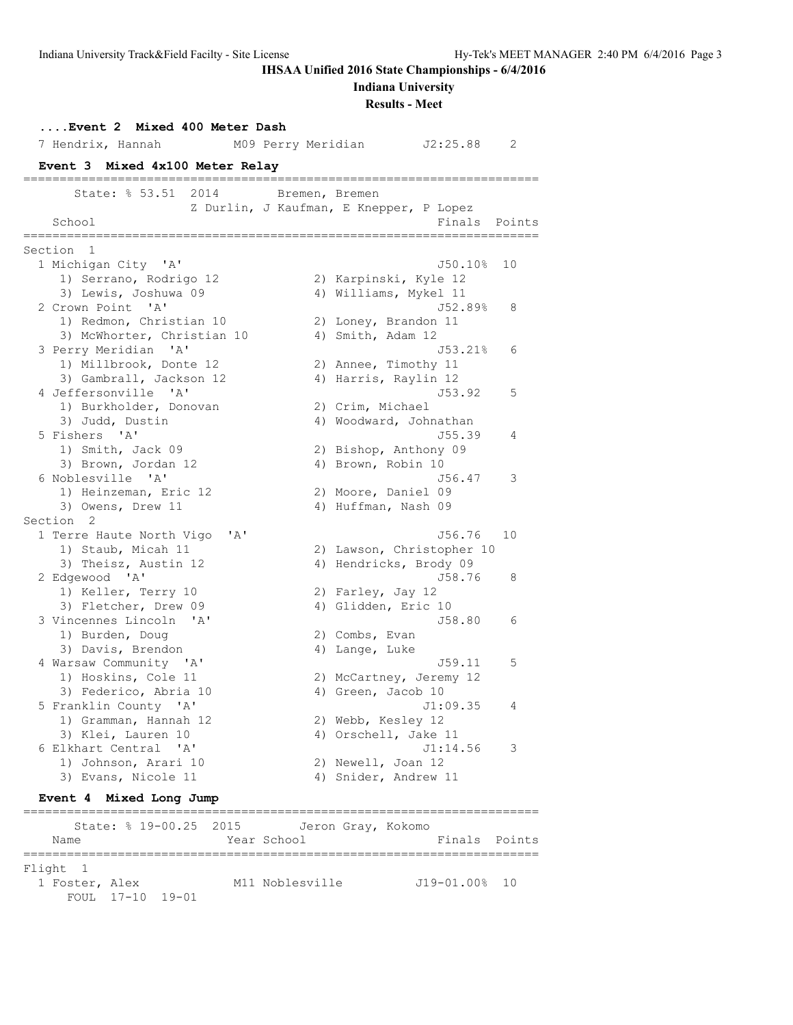**Indiana University**

**Results - Meet**

|                          |                                                                                                                                                                                                                                                                                                                                                                                                                                                                                                                                                                                                               |                                                                                                       |                                                                                                                                   | 2                                                                                                                                                                                                                                                                                                                                                                                                                                                                                                                                                                                                                                                               |
|--------------------------|---------------------------------------------------------------------------------------------------------------------------------------------------------------------------------------------------------------------------------------------------------------------------------------------------------------------------------------------------------------------------------------------------------------------------------------------------------------------------------------------------------------------------------------------------------------------------------------------------------------|-------------------------------------------------------------------------------------------------------|-----------------------------------------------------------------------------------------------------------------------------------|-----------------------------------------------------------------------------------------------------------------------------------------------------------------------------------------------------------------------------------------------------------------------------------------------------------------------------------------------------------------------------------------------------------------------------------------------------------------------------------------------------------------------------------------------------------------------------------------------------------------------------------------------------------------|
|                          |                                                                                                                                                                                                                                                                                                                                                                                                                                                                                                                                                                                                               |                                                                                                       |                                                                                                                                   |                                                                                                                                                                                                                                                                                                                                                                                                                                                                                                                                                                                                                                                                 |
|                          |                                                                                                                                                                                                                                                                                                                                                                                                                                                                                                                                                                                                               |                                                                                                       |                                                                                                                                   |                                                                                                                                                                                                                                                                                                                                                                                                                                                                                                                                                                                                                                                                 |
| State: % 53.51<br>2014   |                                                                                                                                                                                                                                                                                                                                                                                                                                                                                                                                                                                                               |                                                                                                       |                                                                                                                                   |                                                                                                                                                                                                                                                                                                                                                                                                                                                                                                                                                                                                                                                                 |
| School                   |                                                                                                                                                                                                                                                                                                                                                                                                                                                                                                                                                                                                               |                                                                                                       | Finals Points                                                                                                                     |                                                                                                                                                                                                                                                                                                                                                                                                                                                                                                                                                                                                                                                                 |
| Section 1                |                                                                                                                                                                                                                                                                                                                                                                                                                                                                                                                                                                                                               |                                                                                                       |                                                                                                                                   |                                                                                                                                                                                                                                                                                                                                                                                                                                                                                                                                                                                                                                                                 |
| 1 Michigan City 'A'      |                                                                                                                                                                                                                                                                                                                                                                                                                                                                                                                                                                                                               |                                                                                                       | J50.10%                                                                                                                           | 10                                                                                                                                                                                                                                                                                                                                                                                                                                                                                                                                                                                                                                                              |
| 1) Serrano, Rodrigo 12   |                                                                                                                                                                                                                                                                                                                                                                                                                                                                                                                                                                                                               |                                                                                                       |                                                                                                                                   |                                                                                                                                                                                                                                                                                                                                                                                                                                                                                                                                                                                                                                                                 |
| 3) Lewis, Joshuwa 09     |                                                                                                                                                                                                                                                                                                                                                                                                                                                                                                                                                                                                               |                                                                                                       |                                                                                                                                   |                                                                                                                                                                                                                                                                                                                                                                                                                                                                                                                                                                                                                                                                 |
|                          |                                                                                                                                                                                                                                                                                                                                                                                                                                                                                                                                                                                                               |                                                                                                       |                                                                                                                                   | 8                                                                                                                                                                                                                                                                                                                                                                                                                                                                                                                                                                                                                                                               |
|                          |                                                                                                                                                                                                                                                                                                                                                                                                                                                                                                                                                                                                               |                                                                                                       |                                                                                                                                   |                                                                                                                                                                                                                                                                                                                                                                                                                                                                                                                                                                                                                                                                 |
|                          |                                                                                                                                                                                                                                                                                                                                                                                                                                                                                                                                                                                                               |                                                                                                       |                                                                                                                                   |                                                                                                                                                                                                                                                                                                                                                                                                                                                                                                                                                                                                                                                                 |
|                          |                                                                                                                                                                                                                                                                                                                                                                                                                                                                                                                                                                                                               |                                                                                                       |                                                                                                                                   | 6                                                                                                                                                                                                                                                                                                                                                                                                                                                                                                                                                                                                                                                               |
|                          |                                                                                                                                                                                                                                                                                                                                                                                                                                                                                                                                                                                                               |                                                                                                       |                                                                                                                                   |                                                                                                                                                                                                                                                                                                                                                                                                                                                                                                                                                                                                                                                                 |
|                          |                                                                                                                                                                                                                                                                                                                                                                                                                                                                                                                                                                                                               |                                                                                                       |                                                                                                                                   |                                                                                                                                                                                                                                                                                                                                                                                                                                                                                                                                                                                                                                                                 |
|                          |                                                                                                                                                                                                                                                                                                                                                                                                                                                                                                                                                                                                               |                                                                                                       |                                                                                                                                   | 5                                                                                                                                                                                                                                                                                                                                                                                                                                                                                                                                                                                                                                                               |
|                          |                                                                                                                                                                                                                                                                                                                                                                                                                                                                                                                                                                                                               |                                                                                                       |                                                                                                                                   |                                                                                                                                                                                                                                                                                                                                                                                                                                                                                                                                                                                                                                                                 |
|                          |                                                                                                                                                                                                                                                                                                                                                                                                                                                                                                                                                                                                               |                                                                                                       |                                                                                                                                   | 4                                                                                                                                                                                                                                                                                                                                                                                                                                                                                                                                                                                                                                                               |
|                          |                                                                                                                                                                                                                                                                                                                                                                                                                                                                                                                                                                                                               |                                                                                                       |                                                                                                                                   |                                                                                                                                                                                                                                                                                                                                                                                                                                                                                                                                                                                                                                                                 |
|                          |                                                                                                                                                                                                                                                                                                                                                                                                                                                                                                                                                                                                               |                                                                                                       |                                                                                                                                   |                                                                                                                                                                                                                                                                                                                                                                                                                                                                                                                                                                                                                                                                 |
|                          |                                                                                                                                                                                                                                                                                                                                                                                                                                                                                                                                                                                                               |                                                                                                       |                                                                                                                                   | 3                                                                                                                                                                                                                                                                                                                                                                                                                                                                                                                                                                                                                                                               |
|                          |                                                                                                                                                                                                                                                                                                                                                                                                                                                                                                                                                                                                               |                                                                                                       |                                                                                                                                   |                                                                                                                                                                                                                                                                                                                                                                                                                                                                                                                                                                                                                                                                 |
|                          |                                                                                                                                                                                                                                                                                                                                                                                                                                                                                                                                                                                                               |                                                                                                       |                                                                                                                                   |                                                                                                                                                                                                                                                                                                                                                                                                                                                                                                                                                                                                                                                                 |
|                          |                                                                                                                                                                                                                                                                                                                                                                                                                                                                                                                                                                                                               |                                                                                                       |                                                                                                                                   |                                                                                                                                                                                                                                                                                                                                                                                                                                                                                                                                                                                                                                                                 |
| 1 Terre Haute North Vigo |                                                                                                                                                                                                                                                                                                                                                                                                                                                                                                                                                                                                               |                                                                                                       | J56.76                                                                                                                            | 10                                                                                                                                                                                                                                                                                                                                                                                                                                                                                                                                                                                                                                                              |
| 1) Staub, Micah 11       |                                                                                                                                                                                                                                                                                                                                                                                                                                                                                                                                                                                                               |                                                                                                       |                                                                                                                                   |                                                                                                                                                                                                                                                                                                                                                                                                                                                                                                                                                                                                                                                                 |
| 3) Theisz, Austin 12     |                                                                                                                                                                                                                                                                                                                                                                                                                                                                                                                                                                                                               |                                                                                                       |                                                                                                                                   |                                                                                                                                                                                                                                                                                                                                                                                                                                                                                                                                                                                                                                                                 |
| 2 Edgewood 'A'           |                                                                                                                                                                                                                                                                                                                                                                                                                                                                                                                                                                                                               |                                                                                                       | J58.76                                                                                                                            | 8                                                                                                                                                                                                                                                                                                                                                                                                                                                                                                                                                                                                                                                               |
| 1) Keller, Terry 10      |                                                                                                                                                                                                                                                                                                                                                                                                                                                                                                                                                                                                               |                                                                                                       |                                                                                                                                   |                                                                                                                                                                                                                                                                                                                                                                                                                                                                                                                                                                                                                                                                 |
| 3) Fletcher, Drew 09     |                                                                                                                                                                                                                                                                                                                                                                                                                                                                                                                                                                                                               |                                                                                                       |                                                                                                                                   |                                                                                                                                                                                                                                                                                                                                                                                                                                                                                                                                                                                                                                                                 |
| 3 Vincennes Lincoln 'A'  |                                                                                                                                                                                                                                                                                                                                                                                                                                                                                                                                                                                                               |                                                                                                       | J58.80                                                                                                                            | 6                                                                                                                                                                                                                                                                                                                                                                                                                                                                                                                                                                                                                                                               |
|                          |                                                                                                                                                                                                                                                                                                                                                                                                                                                                                                                                                                                                               |                                                                                                       |                                                                                                                                   |                                                                                                                                                                                                                                                                                                                                                                                                                                                                                                                                                                                                                                                                 |
| 3) Davis, Brendon        |                                                                                                                                                                                                                                                                                                                                                                                                                                                                                                                                                                                                               |                                                                                                       |                                                                                                                                   |                                                                                                                                                                                                                                                                                                                                                                                                                                                                                                                                                                                                                                                                 |
|                          |                                                                                                                                                                                                                                                                                                                                                                                                                                                                                                                                                                                                               |                                                                                                       |                                                                                                                                   | 5                                                                                                                                                                                                                                                                                                                                                                                                                                                                                                                                                                                                                                                               |
|                          |                                                                                                                                                                                                                                                                                                                                                                                                                                                                                                                                                                                                               |                                                                                                       |                                                                                                                                   |                                                                                                                                                                                                                                                                                                                                                                                                                                                                                                                                                                                                                                                                 |
|                          |                                                                                                                                                                                                                                                                                                                                                                                                                                                                                                                                                                                                               |                                                                                                       |                                                                                                                                   |                                                                                                                                                                                                                                                                                                                                                                                                                                                                                                                                                                                                                                                                 |
|                          |                                                                                                                                                                                                                                                                                                                                                                                                                                                                                                                                                                                                               |                                                                                                       |                                                                                                                                   | 4                                                                                                                                                                                                                                                                                                                                                                                                                                                                                                                                                                                                                                                               |
|                          |                                                                                                                                                                                                                                                                                                                                                                                                                                                                                                                                                                                                               |                                                                                                       |                                                                                                                                   |                                                                                                                                                                                                                                                                                                                                                                                                                                                                                                                                                                                                                                                                 |
|                          |                                                                                                                                                                                                                                                                                                                                                                                                                                                                                                                                                                                                               |                                                                                                       |                                                                                                                                   |                                                                                                                                                                                                                                                                                                                                                                                                                                                                                                                                                                                                                                                                 |
|                          |                                                                                                                                                                                                                                                                                                                                                                                                                                                                                                                                                                                                               |                                                                                                       |                                                                                                                                   | 3                                                                                                                                                                                                                                                                                                                                                                                                                                                                                                                                                                                                                                                               |
|                          |                                                                                                                                                                                                                                                                                                                                                                                                                                                                                                                                                                                                               |                                                                                                       |                                                                                                                                   |                                                                                                                                                                                                                                                                                                                                                                                                                                                                                                                                                                                                                                                                 |
|                          |                                                                                                                                                                                                                                                                                                                                                                                                                                                                                                                                                                                                               |                                                                                                       |                                                                                                                                   |                                                                                                                                                                                                                                                                                                                                                                                                                                                                                                                                                                                                                                                                 |
|                          | 7 Hendrix, Hannah<br>2 Crown Point 'A'<br>1) Redmon, Christian 10<br>3 Perry Meridian 'A'<br>1) Millbrook, Donte 12<br>3) Gambrall, Jackson 12<br>4 Jeffersonville 'A'<br>1) Burkholder, Donovan<br>3) Judd, Dustin<br>5 Fishers 'A'<br>1) Smith, Jack 09<br>3) Brown, Jordan 12<br>6 Noblesville 'A'<br>1) Heinzeman, Eric 12<br>3) Owens, Drew 11<br>Section 2<br>1) Burden, Doug<br>4 Warsaw Community 'A'<br>1) Hoskins, Cole 11<br>3) Federico, Abria 10<br>5 Franklin County 'A'<br>1) Gramman, Hannah 12<br>3) Klei, Lauren 10<br>6 Elkhart Central 'A'<br>1) Johnson, Arari 10<br>3) Evans, Nicole 11 | Event 2 Mixed 400 Meter Dash<br>Event 3 Mixed 4x100 Meter Relay<br>3) McWhorter, Christian 10<br>' A' | M09 Perry Meridian<br>Bremen, Bremen<br>---------------------------------<br>2) Crim, Michael<br>2) Combs, Evan<br>4) Lange, Luke | J2:25.88<br>Z Durlin, J Kaufman, E Knepper, P Lopez<br>2) Karpinski, Kyle 12<br>4) Williams, Mykel 11<br>J52.89%<br>2) Loney, Brandon 11<br>4) Smith, Adam 12<br>J53.21%<br>2) Annee, Timothy 11<br>4) Harris, Raylin 12<br>J53.92<br>4) Woodward, Johnathan<br>J55.39<br>2) Bishop, Anthony 09<br>4) Brown, Robin 10<br>J56.47<br>2) Moore, Daniel 09<br>4) Huffman, Nash 09<br>2) Lawson, Christopher 10<br>4) Hendricks, Brody 09<br>2) Farley, Jay 12<br>4) Glidden, Eric 10<br>J59.11<br>2) McCartney, Jeremy 12<br>4) Green, Jacob 10<br>J1:09.35<br>2) Webb, Kesley 12<br>4) Orschell, Jake 11<br>J1:14.56<br>2) Newell, Joan 12<br>4) Snider, Andrew 11 |

### **Event 4 Mixed Long Jump**

======================================================================= State: % 19-00.25 2015 Jeron Gray, Kokomo Name Year School Finals Points ======================================================================= Flight 1 1 Foster, Alex M11 Noblesville J19-01.00% 10 FOUL 17-10 19-01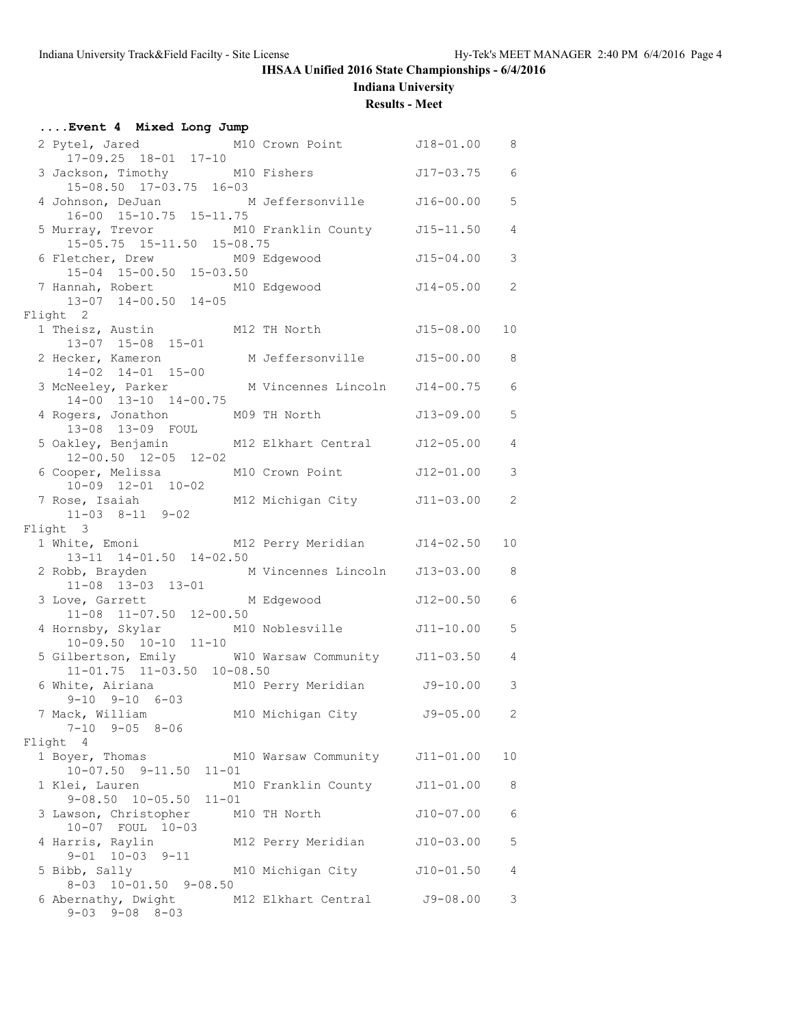**Indiana University**

## **Results - Meet**

| Event 4 Mixed Long Jump                                                                |                                |               |                |
|----------------------------------------------------------------------------------------|--------------------------------|---------------|----------------|
| 2 Pytel, Jared M10 Crown Point J18-01.00 8<br>17-09.25 18-01 17-10                     |                                |               |                |
| 3 Jackson, Timothy M10 Fishers<br>$15-08.50$ $17-03.75$ $16-03$                        |                                | J17-03.75     | 6              |
| 4 Johnson, DeJuan M Jeffersonville 516-00.00<br>16-00 15-10.75 15-11.75                |                                |               | 5              |
| 5 Murray, Trevor M10 Franklin County J15-11.50<br>15-05.75 15-11.50 15-08.75           |                                |               | $\overline{4}$ |
| 6 Fletcher, Drew M09<br>15-04 15-00.50 15-03.50                                        | M09 Edgewood                   | J15-04.00     | 3              |
| 7 Hannah, Robert M10 Edgewood<br>13-07 14-00.50 14-05                                  | $J14-05.00$ 2                  |               |                |
| Flight 2                                                                               |                                |               |                |
| 1 Theisz, Austin M12 TH North J15-08.00<br>13-07 15-08 15-01                           |                                |               | 10             |
| 2 Hecker, Kameron M Jeffersonville 515-00.00<br>14-02 14-01 15-00                      |                                |               | 8              |
| 3 McNeeley, Parker M Vincennes Lincoln J14-00.75<br>14-00 13-10 14-00.75               |                                |               | 6              |
| 4 Rogers, Jonathon M09 TH North<br>13-08 13-09 FOUL                                    |                                | J13-09.00     | 5              |
| 5 Oakley, Benjamin M12 Elkhart Central J12-05.00<br>$12 - 00.50$ $12 - 05$ $12 - 02$   |                                |               | $\overline{4}$ |
| 6 Cooper, Melissa M10 Crown Point<br>$10-09$ $12-01$ $10-02$                           |                                | J12-01.00     | 3              |
| 7 Rose, Isaiah<br>$11-03$ $8-11$ $9-02$                                                | M12 Michigan City J11-03.00    |               | 2              |
| Flight 3                                                                               |                                |               |                |
| 1 White, Emoni M12 Perry Meridian J14-02.50<br>13-11 14-01.50 14-02.50                 |                                |               | 10             |
| 2 Robb, Brayden M Vincennes Lincoln J13-03.00                                          |                                |               | 8              |
| 11-08 13-03 13-01<br>3 Love, Garrett M Edgewood<br>11-08 11-07.50 12-00.50             |                                | J12-00.50     | 6              |
| 4 Hornsby, Skylar M10 Noblesville<br>$10-09.50$ $10-10$ $11-10$                        |                                | J11-10.00     | 5              |
| 5 Gilbertson, Emily M10 Warsaw Community J11-03.50<br>$11-01.75$ $11-03.50$ $10-08.50$ |                                |               | 4              |
| 6 White, Airiana M10 Perry Meridian J9-10.00<br>$9-10$ $9-10$ $6-03$                   |                                |               | $\mathcal{S}$  |
| 7 Mack, William<br>$7-10$ $9-05$ $8-06$                                                | M10 Michigan City J9-05.00     |               | 2              |
| Flight 4                                                                               |                                |               |                |
| 1 Boyer, Thomas<br>$10-07.50$ $9-11.50$ $11-01$                                        | M10 Warsaw Community J11-01.00 |               | 10             |
| 1 Klei, Lauren<br>$9 - 08.50$ $10 - 05.50$ $11 - 01$                                   | M10 Franklin County            | $J11 - 01.00$ | 8              |
| 3 Lawson, Christopher M10 TH North<br>10-07 FOUL 10-03                                 |                                | $J10-07.00$   | 6              |
| 4 Harris, Raylin<br>$9 - 01$ $10 - 03$ $9 - 11$                                        | M12 Perry Meridian             | J10-03.00     | 5              |
| 5 Bibb, Sally<br>$8-03$ $10-01.50$ $9-08.50$                                           | M10 Michigan City              | $J10 - 01.50$ | 4              |
| 6 Abernathy, Dwight<br>$9 - 03$ $9 - 08$ $8 - 03$                                      | M12 Elkhart Central J9-08.00   |               | 3              |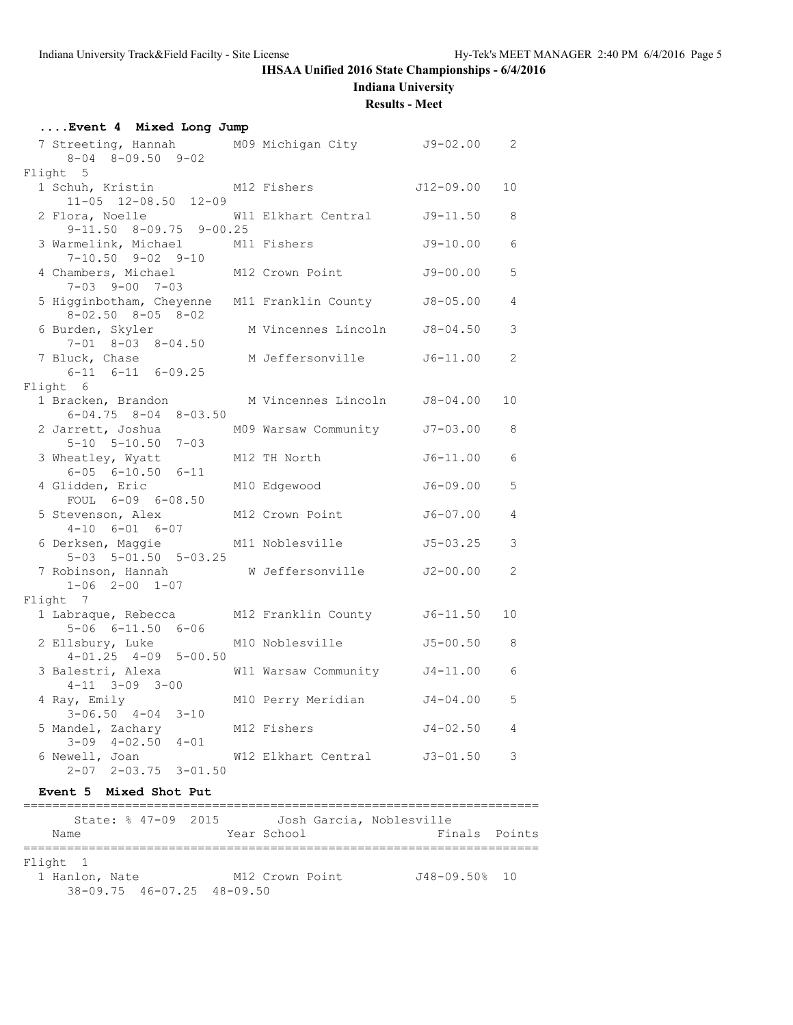**Indiana University**

#### **Results - Meet**

| Event 4 Mixed Long Jump                                                       |                               |              |                |
|-------------------------------------------------------------------------------|-------------------------------|--------------|----------------|
| 7 Streeting, Hannah M09 Michigan City J9-02.00<br>$8-04$ $8-09.50$ $9-02$     |                               |              | $\overline{2}$ |
| Flight 5                                                                      |                               |              |                |
| 1 Schuh, Kristin<br>$11-05$ $12-08.50$ $12-09$                                | M12 Fishers                   | J12-09.00    | 10             |
| 2 Flora, Noelle<br>$9-11.50$ $8-09.75$ $9-00.25$                              | W11 Elkhart Central J9-11.50  |              | 8              |
| 3 Warmelink, Michael M11 Fishers<br>$7-10.50$ $9-02$ $9-10$                   |                               | J9-10.00     | 6              |
| 4 Chambers, Michael<br>$7 - 03$ $9 - 00$ $7 - 03$                             | M12 Crown Point               | J9-00.00     | 5              |
| 5 Higginbotham, Cheyenne M11 Franklin County<br>$8 - 02.50$ $8 - 05$ $8 - 02$ |                               | J8-05.00     | $\overline{4}$ |
| 6 Burden, Skyler<br>$7 - 01$ $8 - 03$ $8 - 04.50$                             | M Vincennes Lincoln J8-04.50  |              | 3              |
| 7 Bluck, Chase<br>$6-11$ $6-11$ $6-09.25$                                     | M Jeffersonville              | J6-11.00     | $\overline{2}$ |
| Flight 6                                                                      |                               |              |                |
| 1 Bracken, Brandon<br>$6 - 04.75$ $8 - 04$ $8 - 03.50$                        | M Vincennes Lincoln J8-04.00  |              | 10             |
| 2 Jarrett, Joshua<br>$5 - 10$ $5 - 10.50$ $7 - 03$                            | M09 Warsaw Community J7-03.00 |              | 8              |
| 3 Wheatley, Wyatt<br>$6 - 05$ $6 - 10.50$ $6 - 11$                            | M12 TH North                  | $J6-11.00$   | 6              |
| 4 Glidden, Eric<br>FOUL 6-09 6-08.50                                          | M10 Edgewood                  | J6-09.00     | 5              |
| 5 Stevenson, Alex<br>$4-10$ $6-01$ $6-07$                                     | M12 Crown Point               | J6-07.00     | $\overline{4}$ |
| 6 Derksen, Maggie<br>$5-03$ $5-01.50$ $5-03.25$                               | M11 Noblesville               | $J5 - 03.25$ | 3              |
| 7 Robinson, Hannah<br>$1-06$ $2-00$ $1-07$                                    | W Jeffersonville              | J2-00.00     | $\overline{2}$ |
| Flight 7                                                                      |                               |              |                |
| 1 Labraque, Rebecca<br>$5 - 06$ $6 - 11.50$ $6 - 06$                          | M12 Franklin County J6-11.50  |              | 10             |
| 2 Ellsbury, Luke<br>$4-01.25$ $4-09$ $5-00.50$                                | M10 Noblesville               | J5-00.50     | 8              |
| 3 Balestri, Alexa<br>$4-11$ $3-09$ $3-00$                                     | W11 Warsaw Community J4-11.00 |              | 6              |
| 4 Ray, Emily<br>$3 - 06.50$ $4 - 04$ $3 - 10$                                 | M10 Perry Meridian            | J4-04.00     | 5              |
| 5 Mandel, Zachary<br>$3-09$ $4-02.50$ $4-01$                                  | M12 Fishers                   | $J4 - 02.50$ | $\overline{4}$ |
| 6 Newell, Joan<br>$2-07$ $2-03.75$ $3-01.50$                                  | W12 Elkhart Central J3-01.50  |              | 3              |

## **Event 5 Mixed Shot Put**

| State: % 47-09 2015                    |                 | Josh Garcia, Noblesville |
|----------------------------------------|-----------------|--------------------------|
| Name                                   | Year School     | Finals Points            |
|                                        |                 |                          |
| Flight 1                               |                 |                          |
| 1 Hanlon, Nate                         | M12 Crown Point | $J48 - 09.50$ % 10       |
| $38 - 09.75$ $46 - 07.25$ $48 - 09.50$ |                 |                          |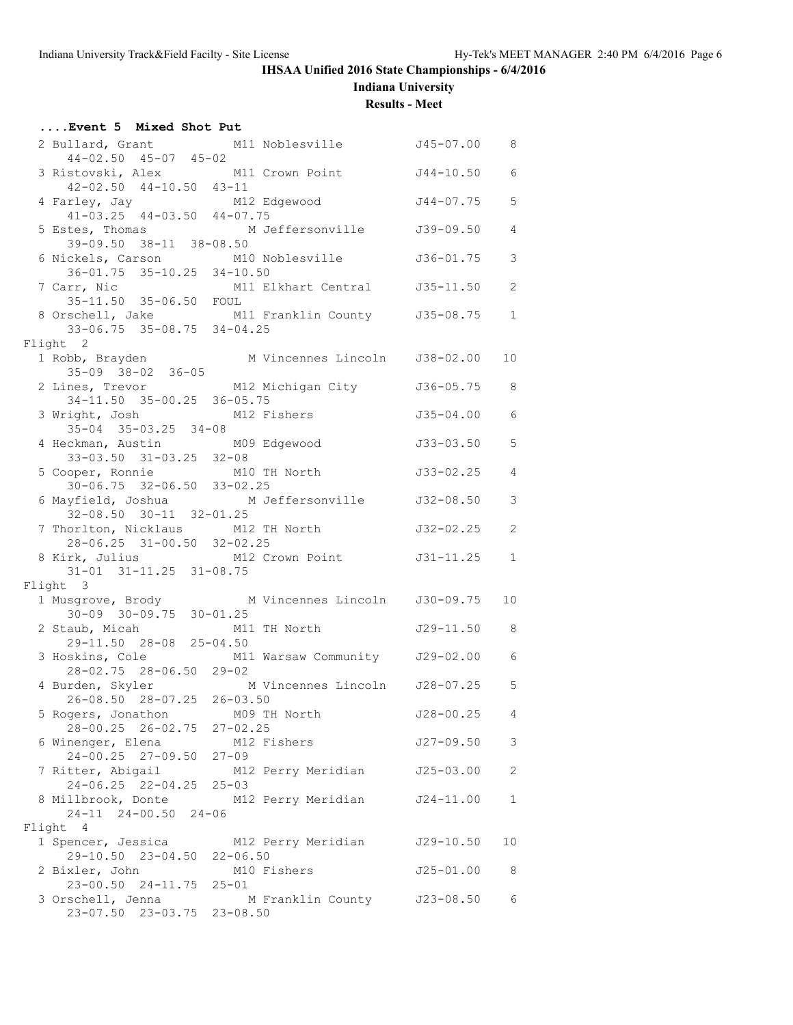**Indiana University**

#### **Results - Meet**

| Event 5 Mixed Shot Put                                        |                                                                              |               |                |
|---------------------------------------------------------------|------------------------------------------------------------------------------|---------------|----------------|
|                                                               | 2 Bullard, Grant M11 Noblesville 545-07.00 8                                 |               |                |
| $44 - 02.50$ $45 - 07$ $45 - 02$                              | 3 Ristovski, Alex M11 Crown Point                                            | J44-10.50     | 6              |
| $42-02.50$ $44-10.50$ $43-11$                                 | 4 Farley, Jay M12 Edgewood<br>41-03.25 44-03.50 44-07.75                     | J44-07.75     | 5              |
|                                                               |                                                                              |               | $\overline{4}$ |
|                                                               | 5 Estes, Thomas M Jeffersonville 5 39-09.50<br>39-09.50 38-11 38-08.50       |               |                |
|                                                               | 6 Nickels, Carson M10 Noblesville<br>36-01.75 35-10.25 34-10.50              | J36-01.75     | 3              |
| 7 Carr, Nic                                                   | arr, Nic M11 Elkhart Central J35-11.50<br>35-11.50 35-06.50 FOUL             |               | 2              |
|                                                               |                                                                              |               | $\mathbf{1}$   |
|                                                               | 8 Orschell, Jake M11 Franklin County J35-08.75<br>33-06.75 35-08.75 34-04.25 |               |                |
| Flight 2                                                      |                                                                              |               |                |
| $35 - 09$ $38 - 02$ $36 - 05$                                 |                                                                              |               | 10             |
|                                                               | 2 Lines, Trevor M12 Michigan City                                            | J36-05.75     | 8              |
| 34-11.50 35-00.25 36-05.75<br>3 Wright, Josh M12 Fishers      |                                                                              | J35-04.00     | 6              |
| $35 - 04$ $35 - 03.25$ $34 - 08$                              |                                                                              |               |                |
| 4 Heckman, Austin M09 Edgewood<br>33-03.50 31-03.25 32-08     |                                                                              | J33-03.50     | 5              |
|                                                               | 5 Cooper, Ronnie M10 TH North<br>30-06.75 32-06.50 33-02.25                  | J33-02.25     | $\overline{4}$ |
| $32-08.50$ $30-11$ $32-01.25$                                 |                                                                              |               | 3              |
|                                                               | 7 Thorlton, Nicklaus M12 TH North                                            | J32-02.25     | 2              |
| 28-06.25 31-00.50 32-02.25                                    | 8 Kirk, Julius M12 Crown Point J31-11.25                                     |               |                |
| 31-01 31-11.25 31-08.75                                       |                                                                              |               | $\mathbf 1$    |
| Flight 3                                                      |                                                                              |               |                |
|                                                               | 1 Musgrove, Brody M Vincennes Lincoln J30-09.75<br>30-09 30-09.75 30-01.25   |               | 10             |
|                                                               | 2 Staub, Micah M11 TH North<br>29-11.50 28-08 25-04.50                       | $J29-11.50$ 8 |                |
| 28-02.75 28-06.50 29-02                                       | 3 Hoskins, Cole M11 Warsaw Community J29-02.00 6                             |               |                |
|                                                               | 4 Burden, Skyler M Vincennes Lincoln J28-07.25 5                             |               |                |
| 26-08.50 28-07.25 26-03.50<br>5 Rogers, Jonathon M09 TH North |                                                                              | J28-00.25     | 4              |
| 28-00.25 26-02.75 27-02.25                                    |                                                                              |               |                |
| 6 Winenger, Elena<br>24-00.25 27-09.50 27-09                  | M12 Fishers                                                                  | J27-09.50     | 3              |
| $24-06.25$ $22-04.25$ $25-03$                                 | 7 Ritter, Abigail M12 Perry Meridian                                         | J25-03.00     | 2              |
|                                                               | 8 Millbrook, Donte M12 Perry Meridian                                        | J24-11.00     | $\mathbf 1$    |
| $24-11$ $24-00.50$ $24-06$                                    |                                                                              |               |                |
| Flight 4                                                      |                                                                              |               |                |
| 29-10.50 23-04.50 22-06.50                                    | 1 Spencer, Jessica M12 Perry Meridian                                        | J29-10.50     | 10             |
| 2 Bixler, John                                                | M10 Fishers                                                                  | J25-01.00     | 8              |
| 23-00.50 24-11.75 25-01<br>3 Orschell, Jenna                  | M Franklin County J23-08.50                                                  |               | 6              |
| 23-07.50 23-03.75 23-08.50                                    |                                                                              |               |                |